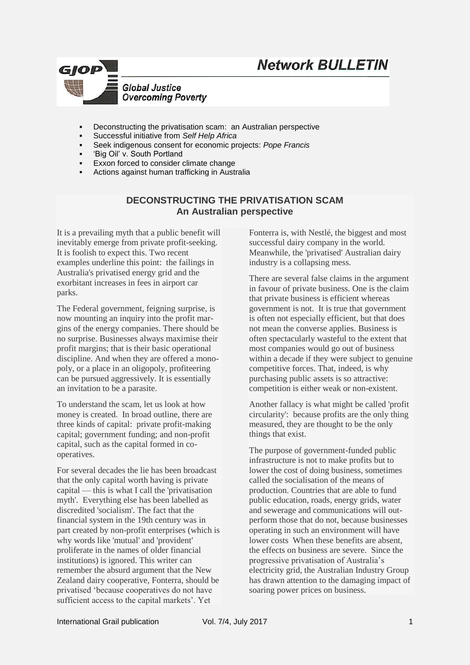



- Deconstructing the privatisation scam: an Australian perspective
- Successful initiative from *Self Help Africa*
- Seek indigenous consent for economic projects: *Pope Francis*
- 'Big Oil' v. South Portland
- Exxon forced to consider climate change
- Actions against human trafficking in Australia

### **DECONSTRUCTING THE PRIVATISATION SCAM An Australian perspective**

It is a prevailing myth that a public benefit will inevitably emerge from private profit-seeking. It is foolish to expect this. Two recent examples underline this point: the failings in Australia's privatised energy grid and the exorbitant increases in fees in airport car parks.

The Federal government, feigning surprise, is now mounting an inquiry into the profit margins of the energy companies. There should be no surprise. Businesses always maximise their profit margins; that is their basic operational discipline. And when they are offered a monopoly, or a place in an oligopoly, profiteering can be pursued aggressively. It is essentially an invitation to be a parasite.

To understand the scam, let us look at how money is created. In broad outline, there are three kinds of capital: private profit-making capital; government funding; and non-profit capital, such as the capital formed in cooperatives.

For several decades the lie has been broadcast that the only capital worth having is private capital — this is what I call the 'privatisation myth'. Everything else has been labelled as discredited 'socialism'. The fact that the financial system in the 19th century was in part created by non-profit enterprises (which is why words like 'mutual' and 'provident' proliferate in the names of older financial institutions) is ignored. This writer can remember the absurd argument that the New Zealand dairy cooperative, Fonterra, should be privatised 'because cooperatives do not have sufficient access to the capital markets'. Yet

Fonterra is, with Nestlé, the biggest and most successful dairy company in the world. Meanwhile, the 'privatised' Australian dairy industry is a collapsing mess.

There are several false claims in the argument in favour of private business. One is the claim that private business is efficient whereas government is not. It is true that government is often not especially efficient, but that does not mean the converse applies. Business is often spectacularly wasteful to the extent that most companies would go out of business within a decade if they were subject to genuine competitive forces. That, indeed, is why purchasing public assets is so attractive: competition is either weak or non-existent.

Another fallacy is what might be called 'profit circularity': because profits are the only thing measured, they are thought to be the only things that exist.

The purpose of government-funded public infrastructure is not to make profits but to lower the cost of doing business, sometimes called the socialisation of the means of production. Countries that are able to fund public education, roads, energy grids, water and sewerage and communications will outperform those that do not, because businesses operating in such an environment will have lower costs When these benefits are absent, the effects on business are severe. Since the progressive privatisation of Australia's electricity grid, the Australian Industry Group has drawn attention to the damaging impact of soaring power prices on business.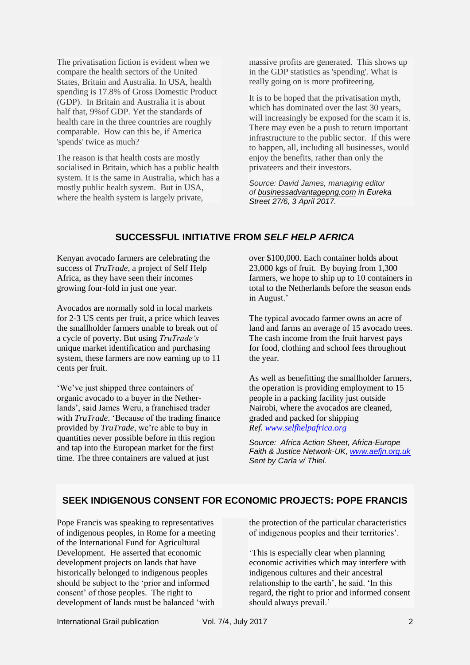The privatisation fiction is evident when we compare the health sectors of the United States, Britain and Australia. In USA, health spending is 17.8% of Gross Domestic Product (GDP). In Britain and Australia it is about half that, 9%of GDP. Yet the standards of health care in the three countries are roughly comparable. How can this be, if America 'spends' twice as much?

The reason is that health costs are mostly socialised in Britain, which has a public health system. It is the same in Australia, which has a mostly public health system. But in USA, where the health system is largely private,

massive profits are generated. This shows up in the GDP statistics as 'spending'. What is really going on is more profiteering.

It is to be hoped that the privatisation myth, which has dominated over the last 30 years, will increasingly be exposed for the scam it is. There may even be a push to return important infrastructure to the public sector. If this were to happen, all, including all businesses, would enjoy the benefits, rather than only the privateers and their investors.

*Source: David James, managing editor of [businessadvantagepng.com](http://businessadvantagepng.com/) in Eureka Street 27/6, 3 April 2017.*

# **SUCCESSFUL INITIATIVE FROM** *SELF HELP AFRICA*

Kenyan avocado farmers are celebrating the success of *TruTrade*, a project of Self Help Africa, as they have seen their incomes growing four-fold in just one year.

Avocados are normally sold in local markets for 2-3 US cents per fruit, a price which leaves the smallholder farmers unable to break out of a cycle of poverty. But using *TruTrade's*  unique market identification and purchasing system, these farmers are now earning up to 11 cents per fruit.

'We've just shipped three containers of organic avocado to a buyer in the Netherlands', said James Weru, a franchised trader with *TruTrade*. 'Because of the trading finance provided by *TruTrade*, we're able to buy in quantities never possible before in this region and tap into the European market for the first time. The three containers are valued at just

over \$100,000. Each container holds about 23,000 kgs of fruit. By buying from 1,300 farmers, we hope to ship up to 10 containers in total to the Netherlands before the season ends in August.'

The typical avocado farmer owns an acre of land and farms an average of 15 avocado trees. The cash income from the fruit harvest pays for food, clothing and school fees throughout the year.

As well as benefitting the smallholder farmers, the operation is providing employment to 15 people in a packing facility just outside Nairobi, where the avocados are cleaned, graded and packed for shipping *Ref. [www.selfhelpafrica.org](http://www.selfhelpafrica.org/)*

*Source: Africa Action Sheet, Africa-Europe Faith & Justice Network-UK, [www.aefjn.org.uk](http://www.aefjn.org.uk/) Sent by Carla v/ Thiel.*

### **SEEK INDIGENOUS CONSENT FOR ECONOMIC PROJECTS: POPE FRANCIS**

Pope Francis was speaking to representatives of indigenous peoples, in Rome for a meeting of the International Fund for Agricultural Development. He asserted that economic development projects on lands that have historically belonged to indigenous peoples should be subject to the 'prior and informed consent' of those peoples. The right to development of lands must be balanced 'with

the protection of the particular characteristics of indigenous peoples and their territories'.

'This is especially clear when planning economic activities which may interfere with indigenous cultures and their ancestral relationship to the earth', he said. 'In this regard, the right to prior and informed consent should always prevail.'

International Grail publication Vol. 7/4, July 2017 2017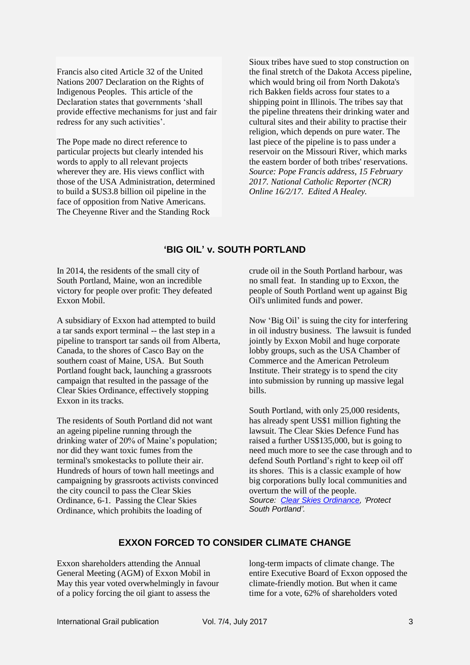Francis also cited Article 32 of the United Nations 2007 Declaration on the Rights of Indigenous Peoples. This article of the Declaration states that governments 'shall provide effective mechanisms for just and fair redress for any such activities'.

The Pope made no direct reference to particular projects but clearly intended his words to apply to all relevant projects wherever they are. His views conflict with those of the USA Administration, determined to build a \$US3.8 billion oil pipeline in the face of opposition from Native Americans. The Cheyenne River and the Standing Rock

Sioux tribes have sued to stop construction on the final stretch of the Dakota Access pipeline, which would bring oil from North Dakota's rich Bakken fields across four states to a shipping point in Illinois. The tribes say that the pipeline threatens their drinking water and cultural sites and their ability to practise their religion, which depends on pure water. The last piece of the pipeline is to pass under a reservoir on the Missouri River, which marks the eastern border of both tribes' reservations. *Source: Pope Francis address, 15 February 2017. National Catholic Reporter (NCR) Online 16/2/17. Edited A Healey.*

# **'BIG OIL' v. SOUTH PORTLAND**

In 2014, the residents of the small city of South Portland, Maine, won an incredible victory for people over profit: They defeated Exxon Mobil.

A subsidiary of Exxon had attempted to build a tar sands export terminal -- the last step in a pipeline to transport tar sands oil from Alberta, Canada, to the shores of Casco Bay on the southern coast of Maine, USA. But South Portland fought back, launching a grassroots campaign that resulted in the passage of the Clear Skies Ordinance, effectively stopping Exxon in its tracks.

The residents of South Portland did not want an ageing pipeline running through the drinking water of 20% of Maine's population; nor did they want toxic fumes from the terminal's smokestacks to pollute their air. Hundreds of hours of town hall meetings and campaigning by grassroots activists convinced the city council to pass the Clear Skies Ordinance, 6-1. Passing the Clear Skies Ordinance, which prohibits the loading of

crude oil in the South Portland harbour, was no small feat. In standing up to Exxon, the people of South Portland went up against Big Oil's unlimited funds and power.

Now 'Big Oil' is suing the city for interfering in oil industry business. The lawsuit is funded jointly by Exxon Mobil and huge corporate lobby groups, such as the USA Chamber of Commerce and the American Petroleum Institute. Their strategy is to spend the city into submission by running up massive legal bills.

South Portland, with only 25,000 residents, has already spent US\$1 million fighting the lawsuit. The Clear Skies Defence Fund has raised a further US\$135,000, but is going to need much more to see the case through and to defend South Portland's right to keep oil off its shores. This is a classic example of how big corporations bully local communities and overturn the will of the people. *Source: [Clear Skies Ordinance,](http://act.sumofus.org/go/352952?t=4&akid=30232.1778629.0X3W91) 'Protect South Portland'.*

# **EXXON FORCED TO CONSIDER CLIMATE CHANGE**

Exxon shareholders attending the Annual General Meeting (AGM) of Exxon Mobil in May this year voted overwhelmingly in favour of a policy forcing the oil giant to assess the

long-term impacts of climate change. The entire Executive Board of Exxon opposed the climate-friendly motion. But when it came time for a vote, 62% of shareholders voted

International Grail publication Vol. 7/4, July 2017 3